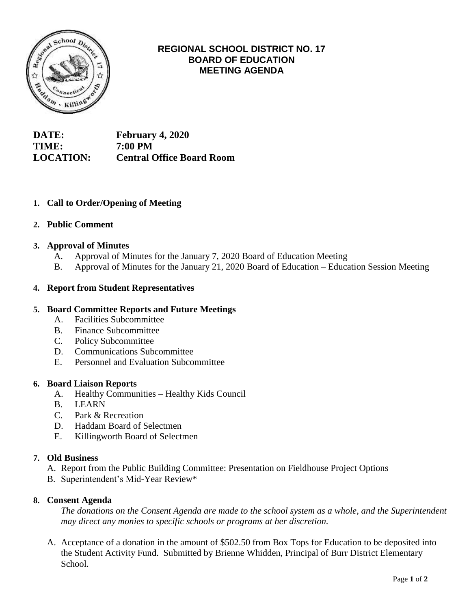

# **REGIONAL SCHOOL DISTRICT NO. 17 BOARD OF EDUCATION MEETING AGENDA**

**DATE: February 4, 2020 TIME: 7:00 PM LOCATION: Central Office Board Room**

# **1. Call to Order/Opening of Meeting**

### **2. Public Comment**

### **3. Approval of Minutes**

- A. Approval of Minutes for the January 7, 2020 Board of Education Meeting
- B. Approval of Minutes for the January 21, 2020 Board of Education Education Session Meeting

### **4. Report from Student Representatives**

#### **5. Board Committee Reports and Future Meetings**

- A. Facilities Subcommittee
- B. Finance Subcommittee
- C. Policy Subcommittee
- D. Communications Subcommittee
- E. Personnel and Evaluation Subcommittee

#### **6. Board Liaison Reports**

- A. Healthy Communities Healthy Kids Council
- B. LEARN
- C. Park & Recreation
- D. Haddam Board of Selectmen
- E. Killingworth Board of Selectmen

#### **7. Old Business**

- A. Report from the Public Building Committee: Presentation on Fieldhouse Project Options
- B. Superintendent's Mid-Year Review\*

#### **8. Consent Agenda**

*The donations on the Consent Agenda are made to the school system as a whole, and the Superintendent may direct any monies to specific schools or programs at her discretion.*

 A. Acceptance of a donation in the amount of \$502.50 from Box Tops for Education to be deposited into the Student Activity Fund. Submitted by Brienne Whidden, Principal of Burr District Elementary School.